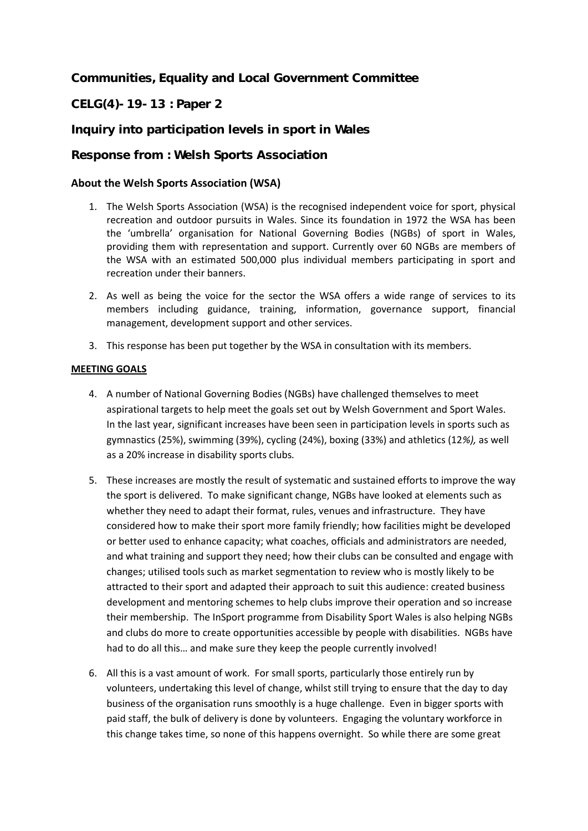**Communities, Equality and Local Government Committee**

**CELG(4)-19-13 : Paper 2**

**Inquiry into participation levels in sport in Wales** 

**Response from : Welsh Sports Association**

# **About the Welsh Sports Association (WSA)**

- 1. The Welsh Sports Association (WSA) is the recognised independent voice for sport, physical recreation and outdoor pursuits in Wales. Since its foundation in 1972 the WSA has been the 'umbrella' organisation for National Governing Bodies (NGBs) of sport in Wales, providing them with representation and support. Currently over 60 NGBs are members of the WSA with an estimated 500,000 plus individual members participating in sport and recreation under their banners.
- 2. As well as being the voice for the sector the WSA offers a wide range of services to its members including guidance, training, information, governance support, financial management, development support and other services.
- 3. This response has been put together by the WSA in consultation with its members.

## **MEETING GOALS**

- 4. A number of National Governing Bodies (NGBs) have challenged themselves to meet aspirational targets to help meet the goals set out by Welsh Government and Sport Wales. In the last year, significant increases have been seen in participation levels in sports such as gymnastics (25%), swimming (39%), cycling (24%), boxing (33%) and athletics (12*%),* as well as a 20% increase in disability sports clubs*.*
- 5. These increases are mostly the result of systematic and sustained efforts to improve the way the sport is delivered. To make significant change, NGBs have looked at elements such as whether they need to adapt their format, rules, venues and infrastructure. They have considered how to make their sport more family friendly; how facilities might be developed or better used to enhance capacity; what coaches, officials and administrators are needed, and what training and support they need; how their clubs can be consulted and engage with changes; utilised tools such as market segmentation to review who is mostly likely to be attracted to their sport and adapted their approach to suit this audience: created business development and mentoring schemes to help clubs improve their operation and so increase their membership. The InSport programme from Disability Sport Wales is also helping NGBs and clubs do more to create opportunities accessible by people with disabilities. NGBs have had to do all this… and make sure they keep the people currently involved!
- 6. All this is a vast amount of work. For small sports, particularly those entirely run by volunteers, undertaking this level of change, whilst still trying to ensure that the day to day business of the organisation runs smoothly is a huge challenge. Even in bigger sports with paid staff, the bulk of delivery is done by volunteers. Engaging the voluntary workforce in this change takes time, so none of this happens overnight. So while there are some great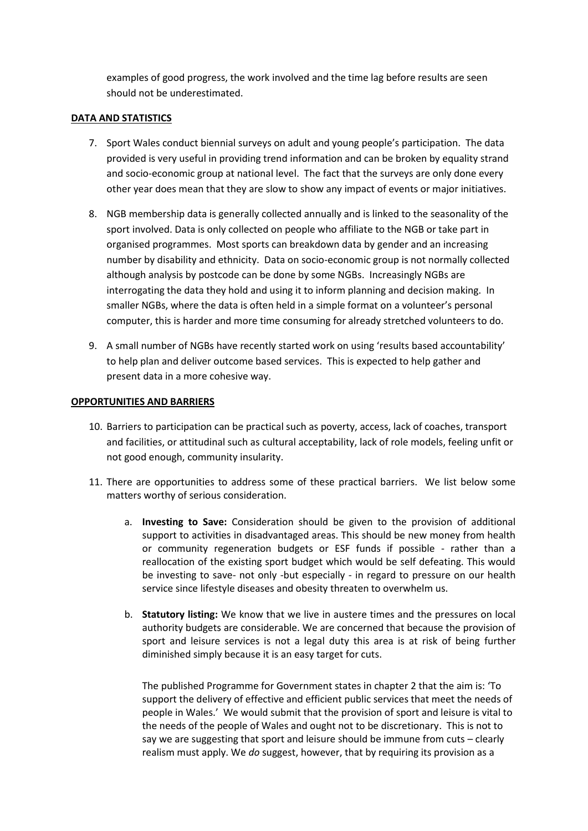examples of good progress, the work involved and the time lag before results are seen should not be underestimated.

#### **DATA AND STATISTICS**

- 7. Sport Wales conduct biennial surveys on adult and young people's participation. The data provided is very useful in providing trend information and can be broken by equality strand and socio-economic group at national level. The fact that the surveys are only done every other year does mean that they are slow to show any impact of events or major initiatives.
- 8. NGB membership data is generally collected annually and is linked to the seasonality of the sport involved. Data is only collected on people who affiliate to the NGB or take part in organised programmes. Most sports can breakdown data by gender and an increasing number by disability and ethnicity. Data on socio-economic group is not normally collected although analysis by postcode can be done by some NGBs. Increasingly NGBs are interrogating the data they hold and using it to inform planning and decision making. In smaller NGBs, where the data is often held in a simple format on a volunteer's personal computer, this is harder and more time consuming for already stretched volunteers to do.
- 9. A small number of NGBs have recently started work on using 'results based accountability' to help plan and deliver outcome based services. This is expected to help gather and present data in a more cohesive way.

#### **OPPORTUNITIES AND BARRIERS**

- 10. Barriers to participation can be practical such as poverty, access, lack of coaches, transport and facilities, or attitudinal such as cultural acceptability, lack of role models, feeling unfit or not good enough, community insularity.
- 11. There are opportunities to address some of these practical barriers. We list below some matters worthy of serious consideration.
	- a. **Investing to Save:** Consideration should be given to the provision of additional support to activities in disadvantaged areas. This should be new money from health or community regeneration budgets or ESF funds if possible - rather than a reallocation of the existing sport budget which would be self defeating. This would be investing to save- not only -but especially - in regard to pressure on our health service since lifestyle diseases and obesity threaten to overwhelm us.
	- b. **Statutory listing:** We know that we live in austere times and the pressures on local authority budgets are considerable. We are concerned that because the provision of sport and leisure services is not a legal duty this area is at risk of being further diminished simply because it is an easy target for cuts.

The published Programme for Government states in chapter 2 that the aim is: 'To support the delivery of effective and efficient public services that meet the needs of people in Wales.' We would submit that the provision of sport and leisure is vital to the needs of the people of Wales and ought not to be discretionary. This is not to say we are suggesting that sport and leisure should be immune from cuts – clearly realism must apply. We *do* suggest, however, that by requiring its provision as a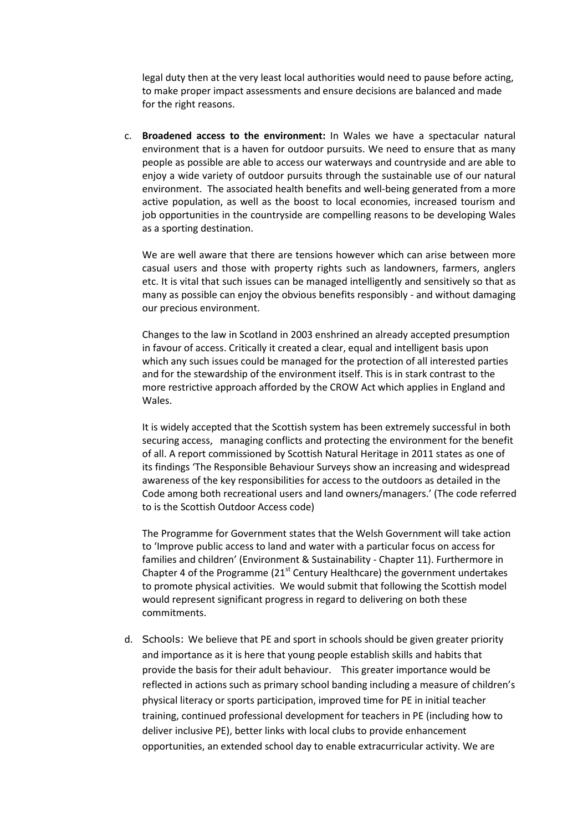legal duty then at the very least local authorities would need to pause before acting, to make proper impact assessments and ensure decisions are balanced and made for the right reasons.

c. **Broadened access to the environment:** In Wales we have a spectacular natural environment that is a haven for outdoor pursuits. We need to ensure that as many people as possible are able to access our waterways and countryside and are able to enjoy a wide variety of outdoor pursuits through the sustainable use of our natural environment. The associated health benefits and well-being generated from a more active population, as well as the boost to local economies, increased tourism and job opportunities in the countryside are compelling reasons to be developing Wales as a sporting destination.

We are well aware that there are tensions however which can arise between more casual users and those with property rights such as landowners, farmers, anglers etc. It is vital that such issues can be managed intelligently and sensitively so that as many as possible can enjoy the obvious benefits responsibly - and without damaging our precious environment.

Changes to the law in Scotland in 2003 enshrined an already accepted presumption in favour of access. Critically it created a clear, equal and intelligent basis upon which any such issues could be managed for the protection of all interested parties and for the stewardship of the environment itself. This is in stark contrast to the more restrictive approach afforded by the CROW Act which applies in England and Wales.

It is widely accepted that the Scottish system has been extremely successful in both securing access, managing conflicts and protecting the environment for the benefit of all. A report commissioned by Scottish Natural Heritage in 2011 states as one of its findings 'The Responsible Behaviour Surveys show an increasing and widespread awareness of the key responsibilities for access to the outdoors as detailed in the Code among both recreational users and land owners/managers.' (The code referred to is the Scottish Outdoor Access code)

The Programme for Government states that the Welsh Government will take action to 'Improve public access to land and water with a particular focus on access for families and children' (Environment & Sustainability - Chapter 11). Furthermore in Chapter 4 of the Programme  $(21<sup>st</sup>$  Century Healthcare) the government undertakes to promote physical activities. We would submit that following the Scottish model would represent significant progress in regard to delivering on both these commitments.

d. Schools: We believe that PE and sport in schools should be given greater priority and importance as it is here that young people establish skills and habits that provide the basis for their adult behaviour. This greater importance would be reflected in actions such as primary school banding including a measure of children's physical literacy or sports participation, improved time for PE in initial teacher training, continued professional development for teachers in PE (including how to deliver inclusive PE), better links with local clubs to provide enhancement opportunities, an extended school day to enable extracurricular activity. We are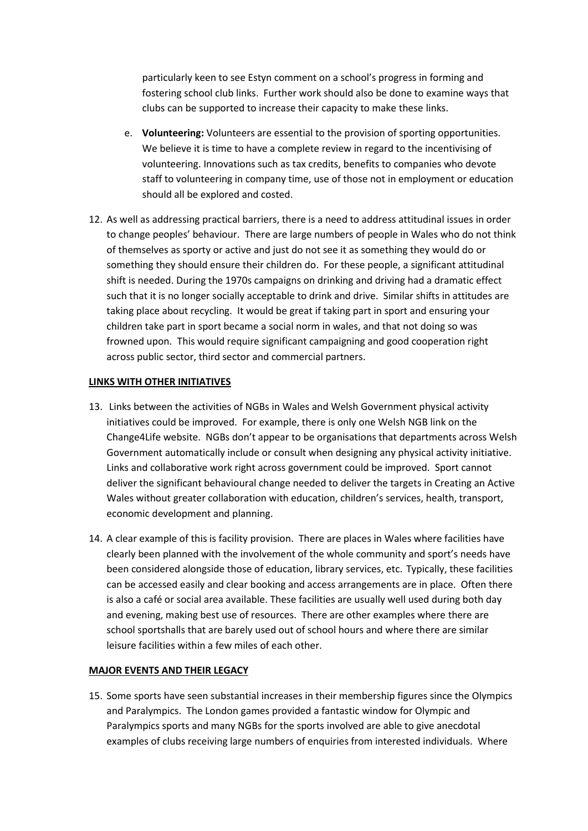particularly keen to see Estyn comment on a school's progress in forming and fostering school club links. Further work should also be done to examine ways that clubs can be supported to increase their capacity to make these links.

- e. **Volunteering:** Volunteers are essential to the provision of sporting opportunities. We believe it is time to have a complete review in regard to the incentivising of volunteering. Innovations such as tax credits, benefits to companies who devote staff to volunteering in company time, use of those not in employment or education should all be explored and costed.
- 12. As well as addressing practical barriers, there is a need to address attitudinal issues in order to change peoples' behaviour. There are large numbers of people in Wales who do not think of themselves as sporty or active and just do not see it as something they would do or something they should ensure their children do. For these people, a significant attitudinal shift is needed. During the 1970s campaigns on drinking and driving had a dramatic effect such that it is no longer socially acceptable to drink and drive. Similar shifts in attitudes are taking place about recycling. It would be great if taking part in sport and ensuring your children take part in sport became a social norm in wales, and that not doing so was frowned upon. This would require significant campaigning and good cooperation right across public sector, third sector and commercial partners.

#### **LINKS WITH OTHER INITIATIVES**

- 13. Links between the activities of NGBs in Wales and Welsh Government physical activity initiatives could be improved. For example, there is only one Welsh NGB link on the Change4Life website. NGBs don't appear to be organisations that departments across Welsh Government automatically include or consult when designing any physical activity initiative. Links and collaborative work right across government could be improved. Sport cannot deliver the significant behavioural change needed to deliver the targets in Creating an Active Wales without greater collaboration with education, children's services, health, transport, economic development and planning.
- 14. A clear example of this is facility provision. There are places in Wales where facilities have clearly been planned with the involvement of the whole community and sport's needs have been considered alongside those of education, library services, etc. Typically, these facilities can be accessed easily and clear booking and access arrangements are in place. Often there is also a café or social area available. These facilities are usually well used during both day and evening, making best use of resources. There are other examples where there are school sportshalls that are barely used out of school hours and where there are similar leisure facilities within a few miles of each other.

### **MAJOR EVENTS AND THEIR LEGACY**

15. Some sports have seen substantial increases in their membership figures since the Olympics and Paralympics. The London games provided a fantastic window for Olympic and Paralympics sports and many NGBs for the sports involved are able to give anecdotal examples of clubs receiving large numbers of enquiries from interested individuals. Where